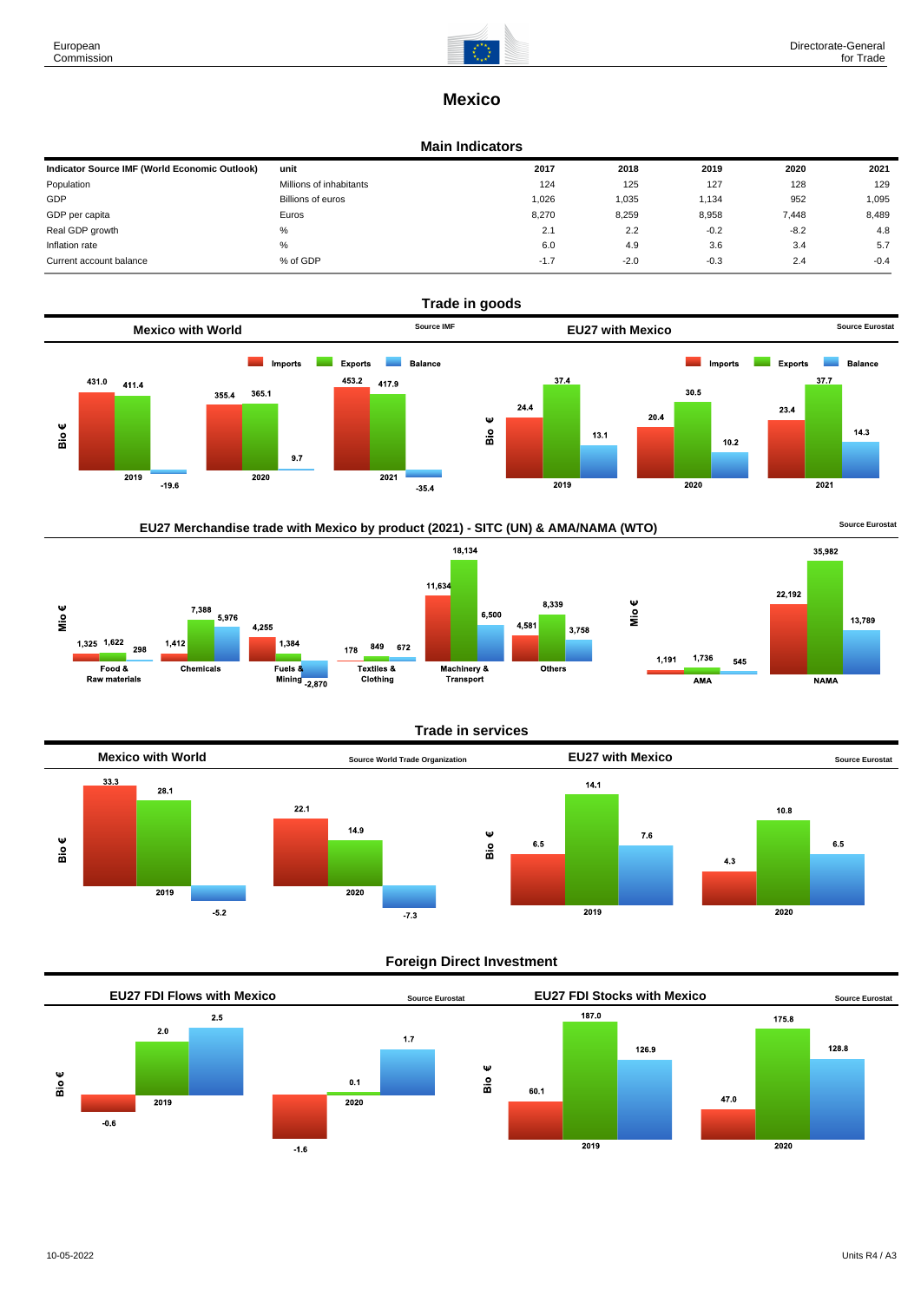

# **Mexico**

#### **Main Indicators**

| unit                    | 2017   | 2018   | 2019   | 2020   | 2021   |
|-------------------------|--------|--------|--------|--------|--------|
| Millions of inhabitants | 124    | 125    | 127    | 128    | 129    |
| Billions of euros       | 1,026  | 1,035  | 1.134  | 952    | 1,095  |
| Euros                   | 8.270  | 8,259  | 8,958  | 7,448  | 8,489  |
| %                       | 2.1    | 2.2    | $-0.2$ | $-8.2$ | 4.8    |
| %                       | 6.0    | 4.9    | 3.6    | 3.4    | 5.7    |
| % of GDP                | $-1.7$ | $-2.0$ | $-0.3$ | 2.4    | $-0.4$ |
|                         |        |        |        |        |        |





### **Trade in services**



### **Foreign Direct Investment**